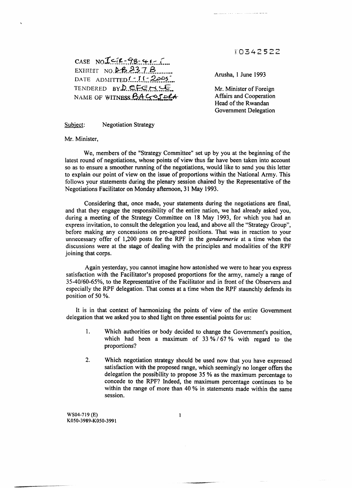K0342522

 $CASE NOICIP-98-99.$ EXIITBIT NO.~.P-:3..7..~ ...•..••• TENDERED BYDEFENCE NAME OF WITNESS. BACOSDRA

Arusha, 1 June 1993

Mr. Minister of Foreign Affairs and Cooperation Head of the Rwandan Government Delegation

Subject: Negotiation Strategy

Mr. Minister,

We, members of the "Strategy Committee" set up by you at the beginning of the latest round of negotiations, whose points of view thus far have been taken into account so as to ensure a smoother running of the negotiations, would like to send you this letter to explain our point of view on the issue of proportions within the National Army. This follows your statements during the plenary session chaired by the Representative of the Negotiations Facilitator on Monday afternoon, 31 May 1993.

Considering that, once made, your statements during the negotiations are final, and that they engage the responsibility of the entire nation, we had already asked you, during a meeting of the Strategy Committee on 18 May 1993, for which you had an express invitation, to consult the delegation you lead, and above all the "Strategy Group", before making any concessions on pre-agreed positions. That was in reaction to your unnecessary offer of 1,200 posts for the RPF in the *gendarmerie* at a time when the discussions were at the stage of dealing with the principles and modalities of the RPF joining that corps.

Again yesterday, you cannot imagine how astonished we were to hear you express satisfaction with the Facilitator's proposed proportions for the army, namely a range of 35-40/60-65%, to the Representative of the Facilitator and in front of the Observers and especially the RPF delegation. That comes at a time when the RPF staunchly defends its position of 50 %.

It is in that context of harmonizing the points of view of the entire Government delegation that we asked you to shed light on three essential points for us:

- 1. Which authorities or body decided to change the Government's position, which had been a maximum of  $33\frac{9}{67}\%$  with regard to the proportions?
- 2. Which negotiation strategy should be used now that you have expressed satisfaction with the proposed range, which seemingly no longer offers the delegation the possibility to propose 35% as the maximum percentage to concede to the RPF? Indeed, the maximum percentage continues to be within the range of more than 40 % in statements made within the same session.